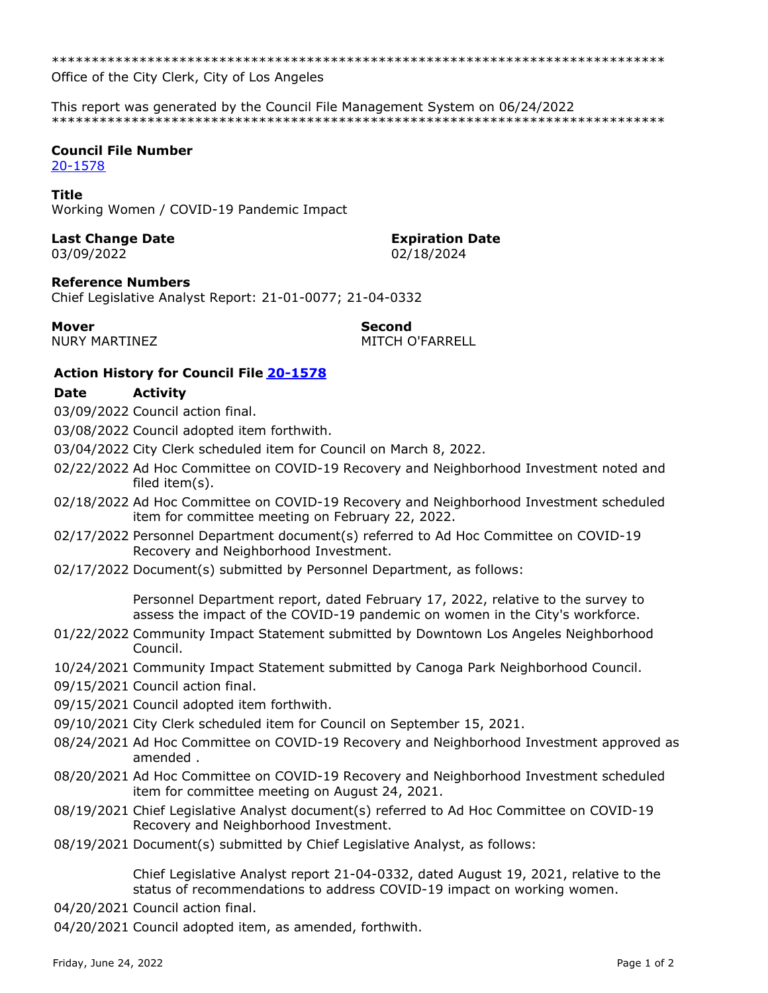Office of the City Clerk, City of Los Angeles

This report was generated by the Council File Management System on 06/24/2022 

# **Council File Number**

20-1578

#### **Title**

Working Women / COVID-19 Pandemic Impact

# **Last Change Date**

03/09/2022

#### **Expiration Date** 02/18/2024

#### **Reference Numbers**

Chief Legislative Analyst Report: 21-01-0077; 21-04-0332

### **Mover**

**NURY MARTINEZ** 

**Second** MITCH O'FARRELL

## **Action History for Council File 20-1578**

#### **Date Activity**

03/09/2022 Council action final.

03/08/2022 Council adopted item forthwith.

03/04/2022 City Clerk scheduled item for Council on March 8, 2022.

- 02/22/2022 Ad Hoc Committee on COVID-19 Recovery and Neighborhood Investment noted and filed item(s).
- 02/18/2022 Ad Hoc Committee on COVID-19 Recovery and Neighborhood Investment scheduled item for committee meeting on February 22, 2022.
- 02/17/2022 Personnel Department document(s) referred to Ad Hoc Committee on COVID-19 Recovery and Neighborhood Investment.
- 02/17/2022 Document(s) submitted by Personnel Department, as follows:

Personnel Department report, dated February 17, 2022, relative to the survey to assess the impact of the COVID-19 pandemic on women in the City's workforce.

- 01/22/2022 Community Impact Statement submitted by Downtown Los Angeles Neighborhood Council.
- 10/24/2021 Community Impact Statement submitted by Canoga Park Neighborhood Council.
- 09/15/2021 Council action final.
- 09/15/2021 Council adopted item forthwith.
- 09/10/2021 City Clerk scheduled item for Council on September 15, 2021.
- 08/24/2021 Ad Hoc Committee on COVID-19 Recovery and Neighborhood Investment approved as amended.
- 08/20/2021 Ad Hoc Committee on COVID-19 Recovery and Neighborhood Investment scheduled item for committee meeting on August 24, 2021.
- 08/19/2021 Chief Legislative Analyst document(s) referred to Ad Hoc Committee on COVID-19 Recovery and Neighborhood Investment.
- 08/19/2021 Document(s) submitted by Chief Legislative Analyst, as follows:

Chief Legislative Analyst report 21-04-0332, dated August 19, 2021, relative to the status of recommendations to address COVID-19 impact on working women.

- 04/20/2021 Council action final.
- 04/20/2021 Council adopted item, as amended, forthwith.